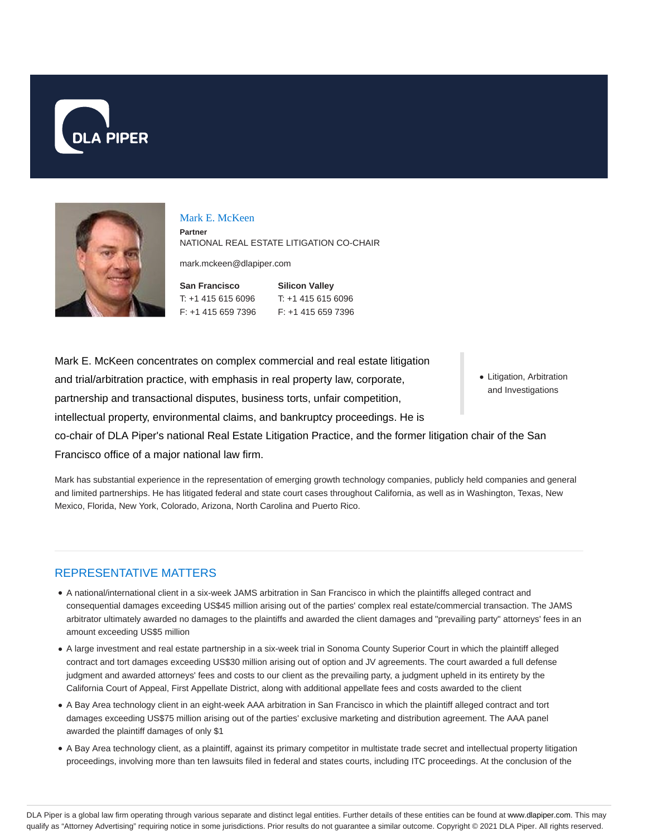



#### Mark E. McKeen

**Partner** NATIONAL REAL ESTATE LITIGATION CO-CHAIR

mark.mckeen@dlapiper.com

| San Francisco      | <b>Silicon Valley</b> |
|--------------------|-----------------------|
| T: +1 415 615 6096 | $T: +14156156096$     |
| F: +1 415 659 7396 | $F: +14156597396$     |

Mark E. McKeen concentrates on complex commercial and real estate litigation and trial/arbitration practice, with emphasis in real property law, corporate, partnership and transactional disputes, business torts, unfair competition, intellectual property, environmental claims, and bankruptcy proceedings. He is co-chair of DLA Piper's national Real Estate Litigation Practice, and the former litigation chair of the San Francisco office of a major national law firm.

Mark has substantial experience in the representation of emerging growth technology companies, publicly held companies and general and limited partnerships. He has litigated federal and state court cases throughout California, as well as in Washington, Texas, New Mexico, Florida, New York, Colorado, Arizona, North Carolina and Puerto Rico.

## REPRESENTATIVE MATTERS

- A national/international client in a six-week JAMS arbitration in San Francisco in which the plaintiffs alleged contract and consequential damages exceeding US\$45 million arising out of the parties' complex real estate/commercial transaction. The JAMS arbitrator ultimately awarded no damages to the plaintiffs and awarded the client damages and "prevailing party" attorneys' fees in an amount exceeding US\$5 million
- A large investment and real estate partnership in a six-week trial in Sonoma County Superior Court in which the plaintiff alleged contract and tort damages exceeding US\$30 million arising out of option and JV agreements. The court awarded a full defense judgment and awarded attorneys' fees and costs to our client as the prevailing party, a judgment upheld in its entirety by the California Court of Appeal, First Appellate District, along with additional appellate fees and costs awarded to the client
- A Bay Area technology client in an eight-week AAA arbitration in San Francisco in which the plaintiff alleged contract and tort damages exceeding US\$75 million arising out of the parties' exclusive marketing and distribution agreement. The AAA panel awarded the plaintiff damages of only \$1
- A Bay Area technology client, as a plaintiff, against its primary competitor in multistate trade secret and intellectual property litigation proceedings, involving more than ten lawsuits filed in federal and states courts, including ITC proceedings. At the conclusion of the

• Litigation, Arbitration and Investigations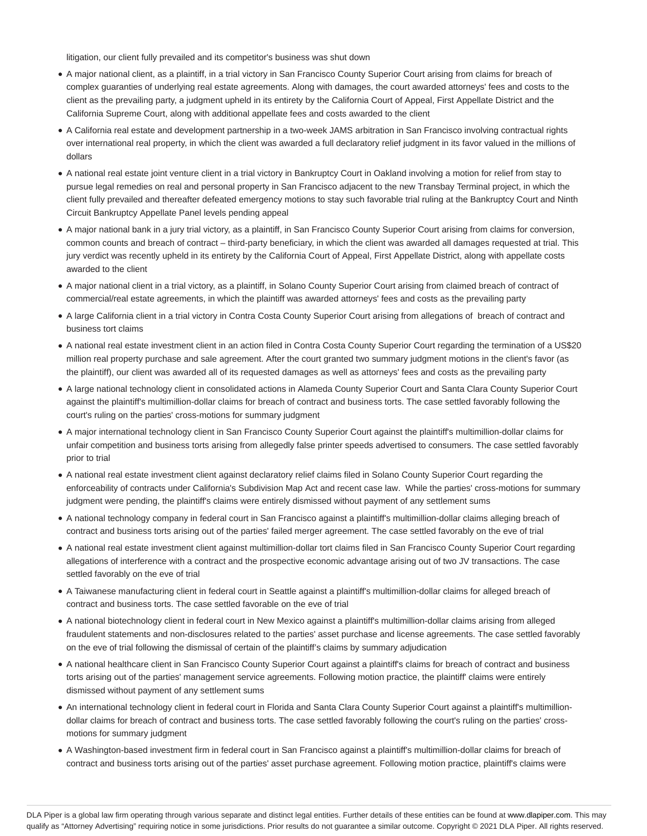litigation, our client fully prevailed and its competitor's business was shut down

- A major national client, as a plaintiff, in a trial victory in San Francisco County Superior Court arising from claims for breach of complex guaranties of underlying real estate agreements. Along with damages, the court awarded attorneys' fees and costs to the client as the prevailing party, a judgment upheld in its entirety by the California Court of Appeal, First Appellate District and the California Supreme Court, along with additional appellate fees and costs awarded to the client
- A California real estate and development partnership in a two-week JAMS arbitration in San Francisco involving contractual rights over international real property, in which the client was awarded a full declaratory relief judgment in its favor valued in the millions of dollars
- A national real estate joint venture client in a trial victory in Bankruptcy Court in Oakland involving a motion for relief from stay to pursue legal remedies on real and personal property in San Francisco adjacent to the new Transbay Terminal project, in which the client fully prevailed and thereafter defeated emergency motions to stay such favorable trial ruling at the Bankruptcy Court and Ninth Circuit Bankruptcy Appellate Panel levels pending appeal
- A major national bank in a jury trial victory, as a plaintiff, in San Francisco County Superior Court arising from claims for conversion, common counts and breach of contract – third-party beneficiary, in which the client was awarded all damages requested at trial. This jury verdict was recently upheld in its entirety by the California Court of Appeal, First Appellate District, along with appellate costs awarded to the client
- A major national client in a trial victory, as a plaintiff, in Solano County Superior Court arising from claimed breach of contract of commercial/real estate agreements, in which the plaintiff was awarded attorneys' fees and costs as the prevailing party
- A large California client in a trial victory in Contra Costa County Superior Court arising from allegations of breach of contract and business tort claims
- A national real estate investment client in an action filed in Contra Costa County Superior Court regarding the termination of a US\$20 million real property purchase and sale agreement. After the court granted two summary judgment motions in the client's favor (as the plaintiff), our client was awarded all of its requested damages as well as attorneys' fees and costs as the prevailing party
- A large national technology client in consolidated actions in Alameda County Superior Court and Santa Clara County Superior Court against the plaintiff's multimillion-dollar claims for breach of contract and business torts. The case settled favorably following the court's ruling on the parties' cross-motions for summary judgment
- A major international technology client in San Francisco County Superior Court against the plaintiff's multimillion-dollar claims for unfair competition and business torts arising from allegedly false printer speeds advertised to consumers. The case settled favorably prior to trial
- A national real estate investment client against declaratory relief claims filed in Solano County Superior Court regarding the enforceability of contracts under California's Subdivision Map Act and recent case law. While the parties' cross-motions for summary judgment were pending, the plaintiff's claims were entirely dismissed without payment of any settlement sums
- A national technology company in federal court in San Francisco against a plaintiff's multimillion-dollar claims alleging breach of contract and business torts arising out of the parties' failed merger agreement. The case settled favorably on the eve of trial
- A national real estate investment client against multimillion-dollar tort claims filed in San Francisco County Superior Court regarding allegations of interference with a contract and the prospective economic advantage arising out of two JV transactions. The case settled favorably on the eve of trial
- A Taiwanese manufacturing client in federal court in Seattle against a plaintiff's multimillion-dollar claims for alleged breach of contract and business torts. The case settled favorable on the eve of trial
- A national biotechnology client in federal court in New Mexico against a plaintiff's multimillion-dollar claims arising from alleged fraudulent statements and non-disclosures related to the parties' asset purchase and license agreements. The case settled favorably on the eve of trial following the dismissal of certain of the plaintiff's claims by summary adjudication
- A national healthcare client in San Francisco County Superior Court against a plaintiff's claims for breach of contract and business torts arising out of the parties' management service agreements. Following motion practice, the plaintiff' claims were entirely dismissed without payment of any settlement sums
- An international technology client in federal court in Florida and Santa Clara County Superior Court against a plaintiff's multimilliondollar claims for breach of contract and business torts. The case settled favorably following the court's ruling on the parties' crossmotions for summary judgment
- A Washington-based investment firm in federal court in San Francisco against a plaintiff's multimillion-dollar claims for breach of contract and business torts arising out of the parties' asset purchase agreement. Following motion practice, plaintiff's claims were